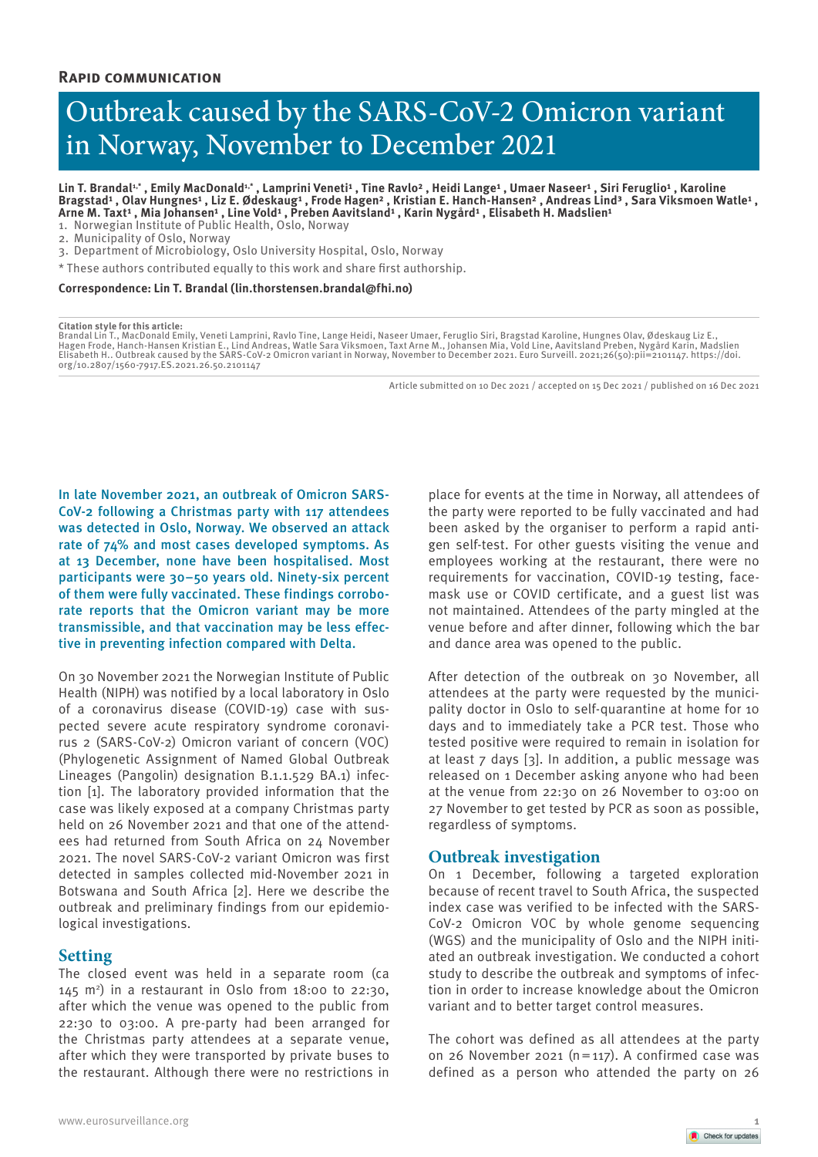# Outbreak caused by the SARS-CoV-2 Omicron variant in Norway, November to December 2021

Lin T. Brandal<sup>1,\*</sup>, Emily MacDonald<sup>1,\*</sup>, Lamprini Veneti<sup>1</sup>, Tine Ravlo<sup>2</sup>, Heidi Lange<sup>1</sup>, Umaer Naseer<sup>1</sup>, Siri Feruglio<sup>1</sup>, Karoline Bragstad<sup>1</sup> , Olav Hungnes<sup>1</sup> , Liz E. Ødeskaug<sup>1</sup> , Frode Hagen<sup>2</sup> , Kristian E. Hanch-Hansen<sup>2</sup> , Andreas Lind<sup>3</sup> , Sara Viksmoen Watle<sup>1</sup> , Arne M. Taxt<sup>1</sup> , Mia Johansen<sup>1</sup> , Line Vold<sup>1</sup> , Preben Aavitsland<sup>1</sup> , Karin Nygård<sup>1</sup> , Elisabeth H. Madslien<sup>1</sup>

1. Norwegian Institute of Public Health, Oslo, Norway

2. Municipality of Oslo, Norway

3. Department of Microbiology, Oslo University Hospital, Oslo, Norway

\* These authors contributed equally to this work and share first authorship.

**Correspondence: Lin T. Brandal (lin.thorstensen.brandal@fhi.no)**

#### **Citation style for this article:**

Brandal Lin T., MacDonald Emily, Veneti Lamprini, Ravlo Tine, Lange Heidi, Naseer Umaer, Feruglio Siri, Bragstad Karoline, Hungnes Olav, Ødeskaug Liz E.,<br>Hagen Frode, Hanch-Hansen Kristian E., Lind Andreas, Watle Sara Viks Elisabeth H.. Outbreak caused by the SARS-CoV-2 Omicron variant in Norway, November to December 2021. Euro Surveill. 2021;26(50):pii=2101147. https://doi. org/10.2807/1560-7917.ES.2021.26.50.2101147

Article submitted on 10 Dec 2021 / accepted on 15 Dec 2021 / published on 16 Dec 2021

In late November 2021, an outbreak of Omicron SARS-CoV-2 following a Christmas party with 117 attendees was detected in Oslo, Norway. We observed an attack rate of 74% and most cases developed symptoms. As at 13 December, none have been hospitalised. Most participants were 30–50 years old. Ninety-six percent of them were fully vaccinated. These findings corroborate reports that the Omicron variant may be more transmissible, and that vaccination may be less effective in preventing infection compared with Delta.

On 30 November 2021 the Norwegian Institute of Public Health (NIPH) was notified by a local laboratory in Oslo of a coronavirus disease (COVID-19) case with suspected severe acute respiratory syndrome coronavirus 2 (SARS-CoV-2) Omicron variant of concern (VOC) (Phylogenetic Assignment of Named Global Outbreak Lineages (Pangolin) designation B.1.1.529 BA.1) infection [1]. The laboratory provided information that the case was likely exposed at a company Christmas party held on 26 November 2021 and that one of the attendees had returned from South Africa on 24 November 2021. The novel SARS-CoV-2 variant Omicron was first detected in samples collected mid-November 2021 in Botswana and South Africa [2]. Here we describe the outbreak and preliminary findings from our epidemiological investigations.

# **Setting**

The closed event was held in a separate room (ca  $145$  m<sup>2</sup>) in a restaurant in Oslo from  $18:00$  to  $22:30$ , after which the venue was opened to the public from 22:30 to 03:00. A pre-party had been arranged for the Christmas party attendees at a separate venue, after which they were transported by private buses to the restaurant. Although there were no restrictions in

place for events at the time in Norway, all attendees of the party were reported to be fully vaccinated and had been asked by the organiser to perform a rapid antigen self-test. For other guests visiting the venue and employees working at the restaurant, there were no requirements for vaccination, COVID-19 testing, facemask use or COVID certificate, and a guest list was not maintained. Attendees of the party mingled at the venue before and after dinner, following which the bar and dance area was opened to the public.

After detection of the outbreak on 30 November, all attendees at the party were requested by the municipality doctor in Oslo to self-quarantine at home for 10 days and to immediately take a PCR test. Those who tested positive were required to remain in isolation for at least 7 days [3]. In addition, a public message was released on 1 December asking anyone who had been at the venue from 22:30 on 26 November to 03:00 on 27 November to get tested by PCR as soon as possible, regardless of symptoms.

# **Outbreak investigation**

On 1 December, following a targeted exploration because of recent travel to South Africa, the suspected index case was verified to be infected with the SARS-CoV-2 Omicron VOC by whole genome sequencing (WGS) and the municipality of Oslo and the NIPH initiated an outbreak investigation. We conducted a cohort study to describe the outbreak and symptoms of infection in order to increase knowledge about the Omicron variant and to better target control measures.

The cohort was defined as all attendees at the party on 26 November 2021 ( $n=117$ ). A confirmed case was defined as a person who attended the party on 26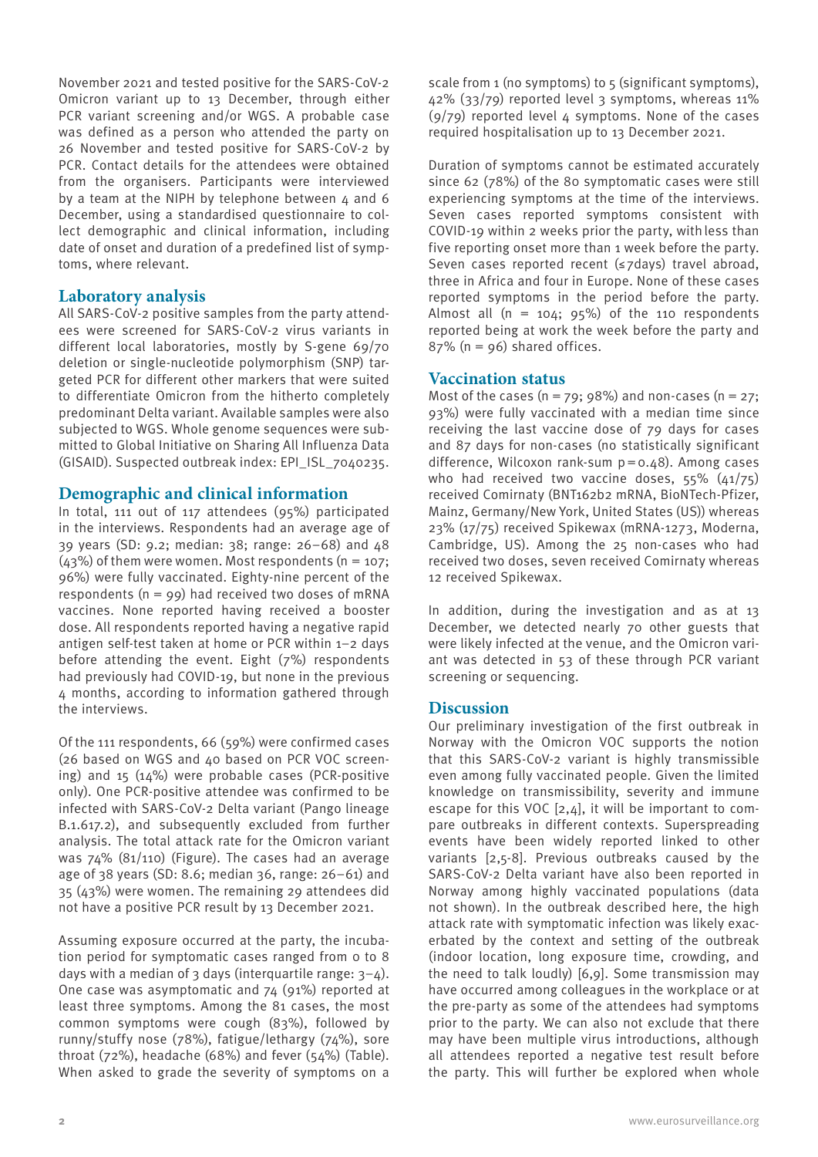November 2021 and tested positive for the SARS-CoV-2 Omicron variant up to 13 December, through either PCR variant screening and/or WGS. A probable case was defined as a person who attended the party on 26 November and tested positive for SARS-CoV-2 by PCR. Contact details for the attendees were obtained from the organisers. Participants were interviewed by a team at the NIPH by telephone between  $4$  and  $6$ December, using a standardised questionnaire to collect demographic and clinical information, including date of onset and duration of a predefined list of symptoms, where relevant.

# **Laboratory analysis**

All SARS-CoV-2 positive samples from the party attendees were screened for SARS-CoV-2 virus variants in different local laboratories, mostly by S-gene 69/70 deletion or single-nucleotide polymorphism (SNP) targeted PCR for different other markers that were suited to differentiate Omicron from the hitherto completely predominant Delta variant. Available samples were also subjected to WGS. Whole genome sequences were submitted to Global Initiative on Sharing All Influenza Data (GISAID). Suspected outbreak index: EPI\_ISL\_7040235.

# **Demographic and clinical information**

In total, 111 out of 117 attendees (95%) participated in the interviews. Respondents had an average age of 39 years (SD: 9.2; median: 38; range: 26–68) and 48  $(43%)$  of them were women. Most respondents (n = 107; 96%) were fully vaccinated. Eighty-nine percent of the respondents ( $n = 99$ ) had received two doses of mRNA vaccines. None reported having received a booster dose. All respondents reported having a negative rapid antigen self-test taken at home or PCR within 1–2 days before attending the event. Eight (7%) respondents had previously had COVID-19, but none in the previous 4 months, according to information gathered through the interviews.

Of the 111 respondents, 66 (59%) were confirmed cases (26 based on WGS and 40 based on PCR VOC screening) and 15 (14%) were probable cases (PCR-positive only). One PCR-positive attendee was confirmed to be infected with SARS-CoV-2 Delta variant (Pango lineage B.1.617.2), and subsequently excluded from further analysis. The total attack rate for the Omicron variant was 74% (81/110) (Figure). The cases had an average age of 38 years (SD: 8.6; median 36, range: 26–61) and 35 (43%) were women. The remaining 29 attendees did not have a positive PCR result by 13 December 2021.

Assuming exposure occurred at the party, the incubation period for symptomatic cases ranged from 0 to 8 days with a median of 3 days (interquartile range: 3−4). One case was asymptomatic and 74 (91%) reported at least three symptoms. Among the 81 cases, the most common symptoms were cough (83%), followed by runny/stuffy nose (78%), fatigue/lethargy (74%), sore throat (72%), headache (68%) and fever (54%) (Table). When asked to grade the severity of symptoms on a scale from 1 (no symptoms) to 5 (significant symptoms), 42% (33/79) reported level 3 symptoms, whereas 11%  $(9/79)$  reported level 4 symptoms. None of the cases required hospitalisation up to 13 December 2021.

Duration of symptoms cannot be estimated accurately since 62 (78%) of the 80 symptomatic cases were still experiencing symptoms at the time of the interviews. Seven cases reported symptoms consistent with COVID-19 within 2 weeks prior the party, withless than five reporting onset more than 1 week before the party. Seven cases reported recent (≤7days) travel abroad, three in Africa and four in Europe. None of these cases reported symptoms in the period before the party. Almost all  $(n = 104; 95%)$  of the 110 respondents reported being at work the week before the party and  $87\%$  (n = 96) shared offices.

# **Vaccination status**

Most of the cases ( $n = 79$ ; 98%) and non-cases ( $n = 27$ ; 93%) were fully vaccinated with a median time since receiving the last vaccine dose of 79 days for cases and 87 days for non-cases (no statistically significant difference, Wilcoxon rank-sum p=0.48). Among cases who had received two vaccine doses, 55% (41/75) received Comirnaty (BNT162b2 mRNA, BioNTech-Pfizer, Mainz, Germany/New York, United States (US)) whereas 23% (17/75) received Spikewax (mRNA-1273, Moderna, Cambridge, US). Among the 25 non-cases who had received two doses, seven received Comirnaty whereas 12 received Spikewax.

In addition, during the investigation and as at 13 December, we detected nearly 70 other guests that were likely infected at the venue, and the Omicron variant was detected in 53 of these through PCR variant screening or sequencing.

# **Discussion**

Our preliminary investigation of the first outbreak in Norway with the Omicron VOC supports the notion that this SARS-CoV-2 variant is highly transmissible even among fully vaccinated people. Given the limited knowledge on transmissibility, severity and immune escape for this VOC  $[2,4]$ , it will be important to compare outbreaks in different contexts. Superspreading events have been widely reported linked to other variants [2,5-8]. Previous outbreaks caused by the SARS-CoV-2 Delta variant have also been reported in Norway among highly vaccinated populations (data not shown). In the outbreak described here, the high attack rate with symptomatic infection was likely exacerbated by the context and setting of the outbreak (indoor location, long exposure time, crowding, and the need to talk loudly) [6,9]. Some transmission may have occurred among colleagues in the workplace or at the pre-party as some of the attendees had symptoms prior to the party. We can also not exclude that there may have been multiple virus introductions, although all attendees reported a negative test result before the party. This will further be explored when whole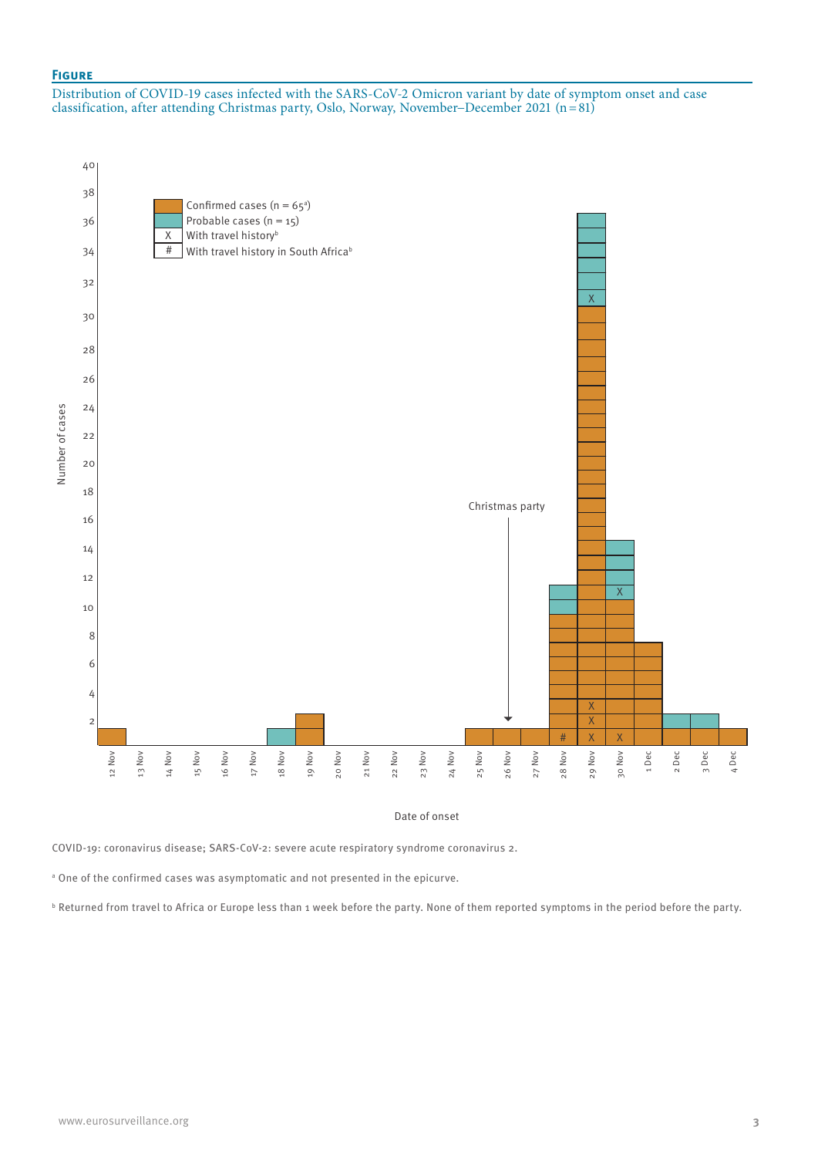## **Figure**

Distribution of COVID-19 cases infected with the SARS-CoV-2 Omicron variant by date of symptom onset and case classification, after attending Christmas party, Oslo, Norway, November−December 2021 (n=81)



Date of onset

COVID-19: coronavirus disease; SARS-CoV-2: severe acute respiratory syndrome coronavirus 2.

<sup>a</sup> One of the confirmed cases was asymptomatic and not presented in the epicurve.

b Returned from travel to Africa or Europe less than 1 week before the party. None of them reported symptoms in the period before the party.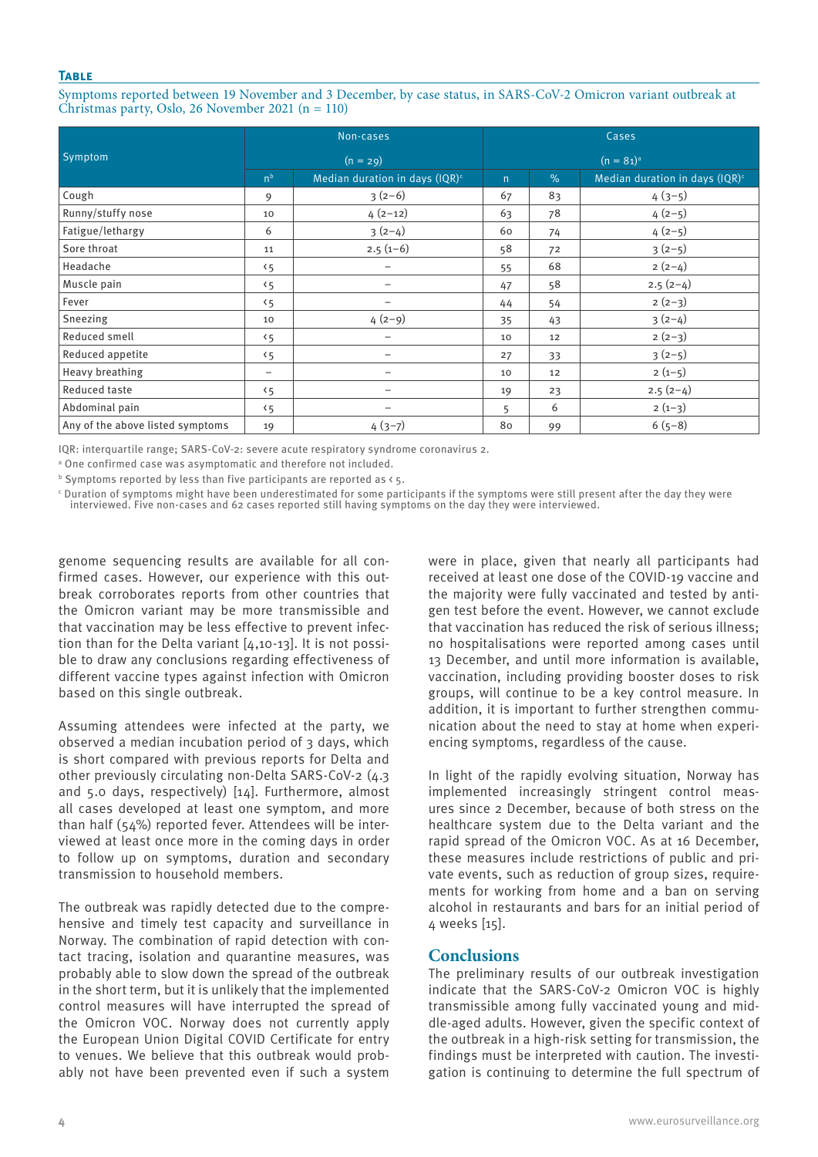## **Table**

Symptoms reported between 19 November and 3 December, by case status, in SARS-CoV-2 Omicron variant outbreak at Christmas party, Oslo, 26 November 2021 (n = 110)

|                                  | Non-cases      |                                   | Cases          |      |                                   |
|----------------------------------|----------------|-----------------------------------|----------------|------|-----------------------------------|
| Symptom                          | $(n = 29)$     |                                   | $(n = 81)^{a}$ |      |                                   |
|                                  | n <sup>b</sup> | Median duration in days $(IQR)^c$ | $\mathsf{n}$   | $\%$ | Median duration in days $(IQR)^c$ |
| Cough                            | 9              | $3(2-6)$                          | 67             | 83   | $4(3-5)$                          |
| Runny/stuffy nose                | 10             | $4(2-12)$                         | 63             | 78   | $4(2-5)$                          |
| Fatigue/lethargy                 | 6              | $3(2-4)$                          | 60             | 74   | $4(2-5)$                          |
| Sore throat                      | 11             | $2.5(1-6)$                        | 58             | 72   | $3(2-5)$                          |
| Headache                         | 5 <sub>5</sub> | -                                 | 55             | 68   | $2(2-4)$                          |
| Muscle pain                      | 5 <sub>5</sub> | -                                 | 47             | 58   | $2.5(2-4)$                        |
| Fever                            | 5 <sub>5</sub> | -                                 | 44             | 54   | $2(2-3)$                          |
| Sneezing                         | 10             | $4(2-9)$                          | 35             | 43   | $3(2-4)$                          |
| Reduced smell                    | 5 <sub>5</sub> | -                                 | 10             | 12   | $2(2-3)$                          |
| Reduced appetite                 | 5 <sub>5</sub> |                                   | 27             | 33   | $3(2-5)$                          |
| Heavy breathing                  | -              | -                                 | 10             | 12   | $2(1-5)$                          |
| Reduced taste                    | 5 <sub>5</sub> | -                                 | 19             | 23   | $2.5(2-4)$                        |
| Abdominal pain                   | 5 <sub>5</sub> | -                                 | 5              | 6    | $2(1-3)$                          |
| Any of the above listed symptoms | 19             | $4(3-7)$                          | 80             | 99   | $6(5-8)$                          |

IQR: interquartile range; SARS-CoV-2: severe acute respiratory syndrome coronavirus 2.

a One confirmed case was asymptomatic and therefore not included.

 $^{\rm b}$  Symptoms reported by less than five participants are reported as < 5.

c Duration of symptoms might have been underestimated for some participants if the symptoms were still present after the day they were interviewed. Five non-cases and 62 cases reported still having symptoms on the day they were interviewed.

genome sequencing results are available for all confirmed cases. However, our experience with this outbreak corroborates reports from other countries that the Omicron variant may be more transmissible and that vaccination may be less effective to prevent infection than for the Delta variant [4,10-13]. It is not possible to draw any conclusions regarding effectiveness of different vaccine types against infection with Omicron based on this single outbreak.

Assuming attendees were infected at the party, we observed a median incubation period of 3 days, which is short compared with previous reports for Delta and other previously circulating non-Delta SARS-CoV-2 (4.3 and 5.0 days, respectively) [14]. Furthermore, almost all cases developed at least one symptom, and more than half (54%) reported fever. Attendees will be interviewed at least once more in the coming days in order to follow up on symptoms, duration and secondary transmission to household members.

The outbreak was rapidly detected due to the comprehensive and timely test capacity and surveillance in Norway. The combination of rapid detection with contact tracing, isolation and quarantine measures, was probably able to slow down the spread of the outbreak in the short term, but it is unlikely that the implemented control measures will have interrupted the spread of the Omicron VOC. Norway does not currently apply the European Union Digital COVID Certificate for entry to venues. We believe that this outbreak would probably not have been prevented even if such a system were in place, given that nearly all participants had received at least one dose of the COVID-19 vaccine and the majority were fully vaccinated and tested by antigen test before the event. However, we cannot exclude that vaccination has reduced the risk of serious illness; no hospitalisations were reported among cases until 13 December, and until more information is available, vaccination, including providing booster doses to risk groups, will continue to be a key control measure. In addition, it is important to further strengthen communication about the need to stay at home when experiencing symptoms, regardless of the cause.

In light of the rapidly evolving situation, Norway has implemented increasingly stringent control measures since 2 December, because of both stress on the healthcare system due to the Delta variant and the rapid spread of the Omicron VOC. As at 16 December, these measures include restrictions of public and private events, such as reduction of group sizes, requirements for working from home and a ban on serving alcohol in restaurants and bars for an initial period of 4 weeks [15].

# **Conclusions**

The preliminary results of our outbreak investigation indicate that the SARS-CoV-2 Omicron VOC is highly transmissible among fully vaccinated young and middle-aged adults. However, given the specific context of the outbreak in a high-risk setting for transmission, the findings must be interpreted with caution. The investigation is continuing to determine the full spectrum of